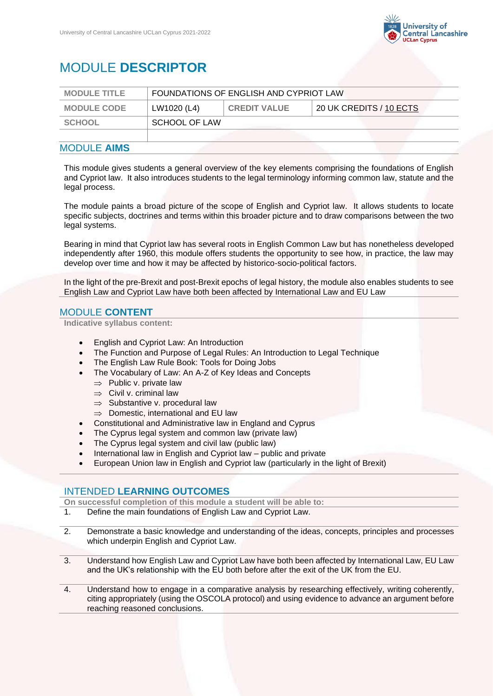

# MODULE **DESCRIPTOR**

| <b>MODULE TITLE</b> | FOUNDATIONS OF ENGLISH AND CYPRIOT LAW |                     |                         |
|---------------------|----------------------------------------|---------------------|-------------------------|
| <b>MODULE CODE</b>  | LW1020 (L4)                            | <b>CREDIT VALUE</b> | 20 UK CREDITS / 10 ECTS |
| <b>SCHOOL</b>       | <b>SCHOOL OF LAW</b>                   |                     |                         |
|                     |                                        |                     |                         |
| MADULE AIMA         |                                        |                     |                         |

#### MODULE **AIMS**

This module gives students a general overview of the key elements comprising the foundations of English and Cypriot law. It also introduces students to the legal terminology informing common law, statute and the legal process.

The module paints a broad picture of the scope of English and Cypriot law. It allows students to locate specific subjects, doctrines and terms within this broader picture and to draw comparisons between the two legal systems.

Bearing in mind that Cypriot law has several roots in English Common Law but has nonetheless developed independently after 1960, this module offers students the opportunity to see how, in practice, the law may develop over time and how it may be affected by historico-socio-political factors.

In the light of the pre-Brexit and post-Brexit epochs of legal history, the module also enables students to see English Law and Cypriot Law have both been affected by International Law and EU Law

## MODULE **CONTENT**

**Indicative syllabus content:**

- English and Cypriot Law: An Introduction
- The Function and Purpose of Legal Rules: An Introduction to Legal Technique
- The English Law Rule Book: Tools for Doing Jobs
- The Vocabulary of Law: An A-Z of Key Ideas and Concepts
	- $\Rightarrow$  Public v. private law
	- $\Rightarrow$  Civil v. criminal law
	- $\Rightarrow$  Substantive v. procedural law
	- $\Rightarrow$  Domestic, international and EU law
- Constitutional and Administrative law in England and Cyprus
- The Cyprus legal system and common law (private law)
- The Cyprus legal system and civil law (public law)
- International law in English and Cypriot law public and private
- European Union law in English and Cypriot law (particularly in the light of Brexit)

## INTENDED **LEARNING OUTCOMES**

**On successful completion of this module a student will be able to:**

- 1. Define the main foundations of English Law and Cypriot Law.
- 2. Demonstrate a basic knowledge and understanding of the ideas, concepts, principles and processes which underpin English and Cypriot Law.
- 3. Understand how English Law and Cypriot Law have both been affected by International Law, EU Law and the UK's relationship with the EU both before after the exit of the UK from the EU.
- 4. Understand how to engage in a comparative analysis by researching effectively, writing coherently, citing appropriately (using the OSCOLA protocol) and using evidence to advance an argument before reaching reasoned conclusions.